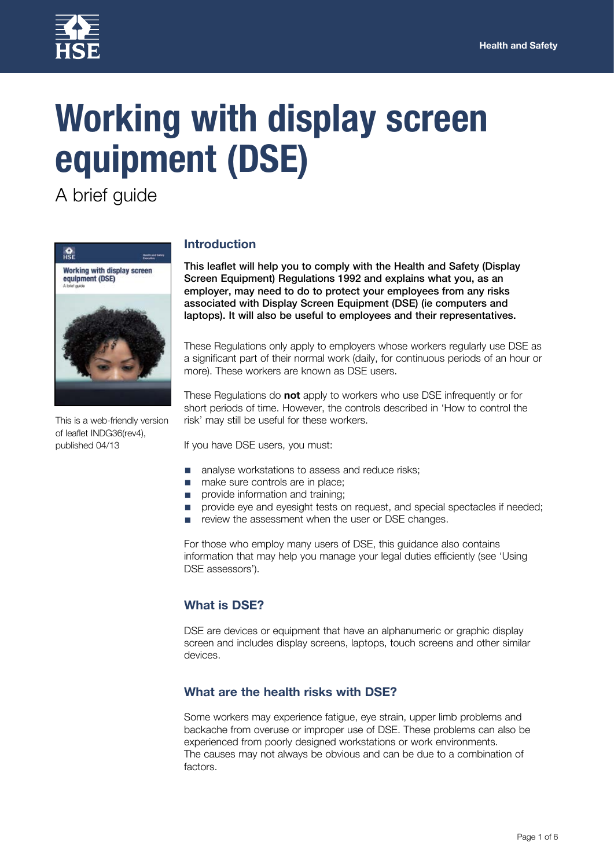

# **Working with display screen equipment (DSE)**

A brief guide



This is a web-friendly version of leaflet INDG36(rev4), published 04/13

## **Introduction**

This leaflet will help you to comply with the Health and Safety (Display Screen Equipment) Regulations 1992 and explains what you, as an employer, may need to do to protect your employees from any risks associated with Display Screen Equipment (DSE) (ie computers and laptops). It will also be useful to employees and their representatives.

These Regulations only apply to employers whose workers regularly use DSE as a significant part of their normal work (daily, for continuous periods of an hour or more). These workers are known as DSE users.

These Regulations do **not** apply to workers who use DSE infrequently or for short periods of time. However, the controls described in 'How to control the risk' may still be useful for these workers.

If you have DSE users, you must:

- analyse workstations to assess and reduce risks;
- make sure controls are in place;
- provide information and training;
- provide eye and eyesight tests on request, and special spectacles if needed;
- review the assessment when the user or DSE changes.

For those who employ many users of DSE, this guidance also contains information that may help you manage your legal duties efficiently (see 'Using DSE assessors').

## **What is DSE?**

DSE are devices or equipment that have an alphanumeric or graphic display screen and includes display screens, laptops, touch screens and other similar devices.

## **What are the health risks with DSE?**

Some workers may experience fatigue, eye strain, upper limb problems and backache from overuse or improper use of DSE. These problems can also be experienced from poorly designed workstations or work environments. The causes may not always be obvious and can be due to a combination of factors.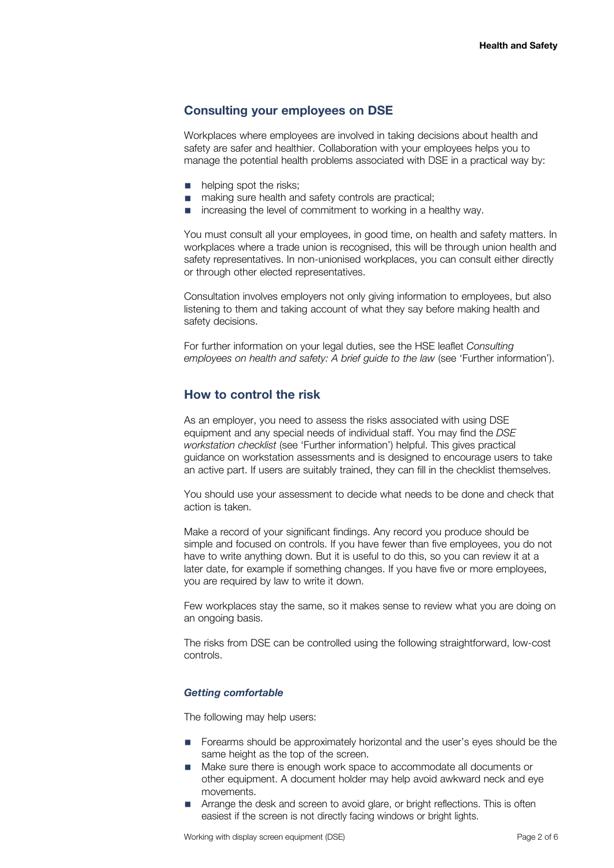## **Consulting your employees on DSE**

Workplaces where employees are involved in taking decisions about health and safety are safer and healthier. Collaboration with your employees helps you to manage the potential health problems associated with DSE in a practical way by:

- helping spot the risks:
- making sure health and safety controls are practical;
- increasing the level of commitment to working in a healthy way.

You must consult all your employees, in good time, on health and safety matters. In workplaces where a trade union is recognised, this will be through union health and safety representatives. In non-unionised workplaces, you can consult either directly or through other elected representatives.

Consultation involves employers not only giving information to employees, but also listening to them and taking account of what they say before making health and safety decisions.

For further information on your legal duties, see the HSE leaflet *Consulting employees on health and safety: A brief guide to the law* (see 'Further information').

## **How to control the risk**

As an employer, you need to assess the risks associated with using DSE equipment and any special needs of individual staff. You may find the *DSE workstation checklist* (see 'Further information') helpful. This gives practical guidance on workstation assessments and is designed to encourage users to take an active part. If users are suitably trained, they can fill in the checklist themselves.

You should use your assessment to decide what needs to be done and check that action is taken.

Make a record of your significant findings. Any record you produce should be simple and focused on controls. If you have fewer than five employees, you do not have to write anything down. But it is useful to do this, so you can review it at a later date, for example if something changes. If you have five or more employees, you are required by law to write it down.

Few workplaces stay the same, so it makes sense to review what you are doing on an ongoing basis.

The risks from DSE can be controlled using the following straightforward, low-cost controls.

#### *Getting comfortable*

The following may help users:

- Forearms should be approximately horizontal and the user's eyes should be the same height as the top of the screen.
- Make sure there is enough work space to accommodate all documents or other equipment. A document holder may help avoid awkward neck and eye movements.
- Arrange the desk and screen to avoid glare, or bright reflections. This is often easiest if the screen is not directly facing windows or bright lights.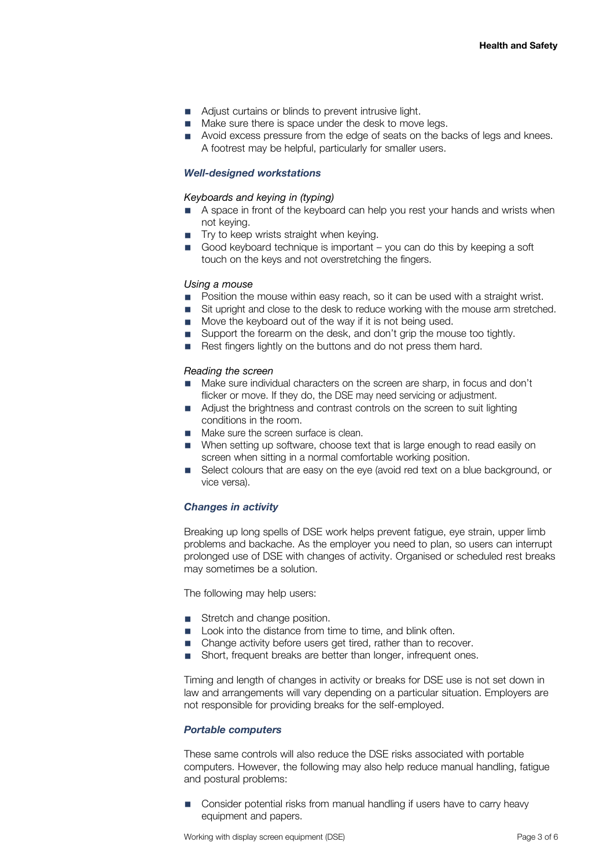- Adjust curtains or blinds to prevent intrusive light.
- Make sure there is space under the desk to move legs.
- Avoid excess pressure from the edge of seats on the backs of legs and knees. A footrest may be helpful, particularly for smaller users.

#### *Well-designed workstations*

#### *Keyboards and keying in (typing)*

- A space in front of the keyboard can help you rest your hands and wrists when not keying.
- Try to keep wrists straight when keying.
- Good keyboard technique is important you can do this by keeping a soft touch on the keys and not overstretching the fingers.

#### *Using a mouse*

- Position the mouse within easy reach, so it can be used with a straight wrist.
- Sit upright and close to the desk to reduce working with the mouse arm stretched.
- Move the keyboard out of the way if it is not being used.
- Support the forearm on the desk, and don't grip the mouse too tightly.
- Rest fingers lightly on the buttons and do not press them hard.

#### *Reading the screen*

- Make sure individual characters on the screen are sharp, in focus and don't flicker or move. If they do, the DSE may need servicing or adjustment.
- Adiust the brightness and contrast controls on the screen to suit lighting conditions in the room.
- Make sure the screen surface is clean.
- When setting up software, choose text that is large enough to read easily on screen when sitting in a normal comfortable working position.
- Select colours that are easy on the eye (avoid red text on a blue background, or vice versa).

#### *Changes in activity*

Breaking up long spells of DSE work helps prevent fatigue, eye strain, upper limb problems and backache. As the employer you need to plan, so users can interrupt prolonged use of DSE with changes of activity. Organised or scheduled rest breaks may sometimes be a solution.

The following may help users:

- Stretch and change position.
- Look into the distance from time to time, and blink often.
- Change activity before users get tired, rather than to recover.
- Short, frequent breaks are better than longer, infrequent ones.

Timing and length of changes in activity or breaks for DSE use is not set down in law and arrangements will vary depending on a particular situation. Employers are not responsible for providing breaks for the self-employed.

#### *Portable computers*

These same controls will also reduce the DSE risks associated with portable computers. However, the following may also help reduce manual handling, fatigue and postural problems:

Consider potential risks from manual handling if users have to carry heavy equipment and papers.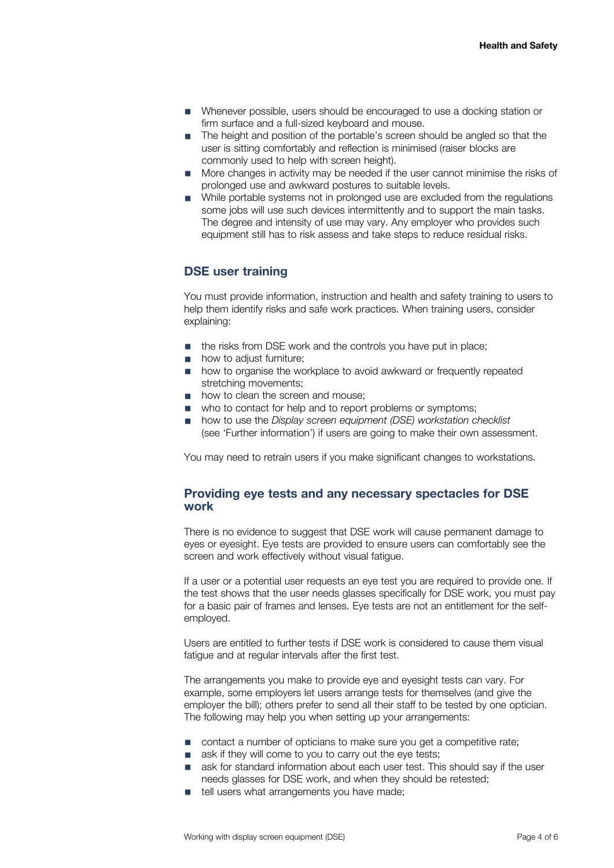- Whenever possible, users should be encouraged to use a docking station or firm surface and a full-sized keyboard and mouse.
- The height and position of the portable's screen should be angled so that the user is sitting comfortably and reflection is minimised (raiser blocks are commonly used to help with screen height).
- More changes in activity may be needed if the user cannot minimise the risks of prolonged use and awkward postures to suitable levels.
- While portable systems not in prolonged use are excluded from the regulations some jobs will use such devices intermittently and to support the main tasks. The degree and intensity of use may vary. Any employer who provides such equipment still has to risk assess and take steps to reduce residual risks.

# **DSE user training**

You must provide information, instruction and health and safety training to users to help them identify risks and safe work practices. When training users, consider explaining:

- the risks from DSE work and the controls you have put in place:
- how to adiust furniture:
- how to organise the workplace to avoid awkward or frequently repeated stretching movements;
- how to clean the screen and mouse;
- who to contact for help and to report problems or symptoms;
- how to use the *Display screen equipment (DSE) workstation checklist* (see 'Further information') if users are going to make their own assessment.

You may need to retrain users if you make significant changes to workstations.

## **Providing eye tests and any necessary spectacles for DSE work**

There is no evidence to suggest that DSE work will cause permanent damage to eyes or eyesight. Eye tests are provided to ensure users can comfortably see the screen and work effectively without visual fatigue.

If a user or a potential user requests an eye test you are required to provide one. If the test shows that the user needs glasses specifically for DSE work, you must pay for a basic pair of frames and lenses. Eye tests are not an entitlement for the selfemployed.

Users are entitled to further tests if DSE work is considered to cause them visual fatigue and at regular intervals after the first test.

The arrangements you make to provide eye and eyesight tests can vary. For example, some employers let users arrange tests for themselves (and give the employer the bill); others prefer to send all their staff to be tested by one optician. The following may help you when setting up your arrangements:

- contact a number of opticians to make sure you get a competitive rate;
- ask if they will come to you to carry out the eye tests;
- ask for standard information about each user test. This should say if the user needs glasses for DSE work, and when they should be retested;
- tell users what arrangements you have made;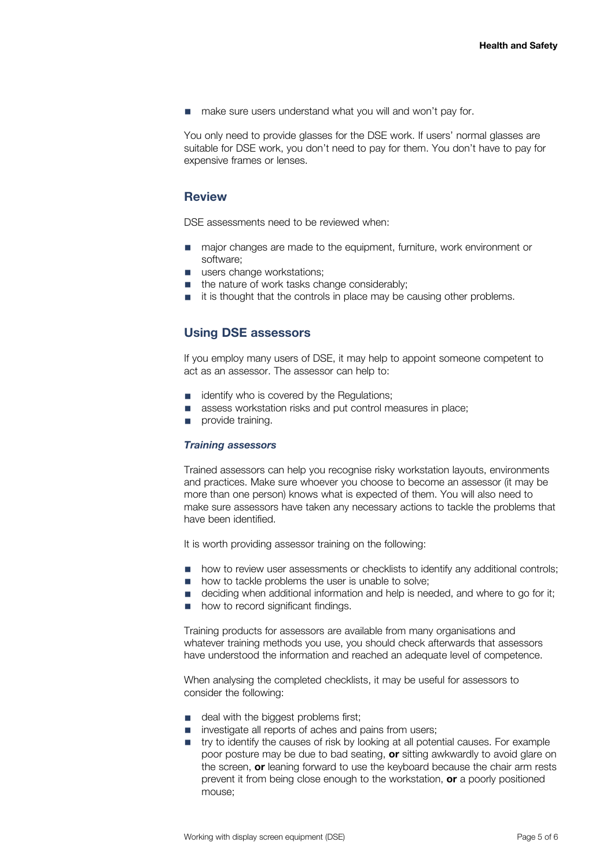■ make sure users understand what you will and won't pay for.

You only need to provide glasses for the DSE work. If users' normal glasses are suitable for DSE work, you don't need to pay for them. You don't have to pay for expensive frames or lenses.

## **Review**

DSE assessments need to be reviewed when:

- major changes are made to the equipment, furniture, work environment or software;
- users change workstations:
- the nature of work tasks change considerably:
- it is thought that the controls in place may be causing other problems.

# **Using DSE assessors**

If you employ many users of DSE, it may help to appoint someone competent to act as an assessor. The assessor can help to:

- identify who is covered by the Regulations;
- assess workstation risks and put control measures in place;
- provide training.

#### *Training assessors*

Trained assessors can help you recognise risky workstation layouts, environments and practices. Make sure whoever you choose to become an assessor (it may be more than one person) knows what is expected of them. You will also need to make sure assessors have taken any necessary actions to tackle the problems that have been identified.

It is worth providing assessor training on the following:

- how to review user assessments or checklists to identify any additional controls;
- how to tackle problems the user is unable to solve;
- deciding when additional information and help is needed, and where to go for it;
- how to record significant findings.

Training products for assessors are available from many organisations and whatever training methods you use, you should check afterwards that assessors have understood the information and reached an adequate level of competence.

When analysing the completed checklists, it may be useful for assessors to consider the following:

- deal with the biggest problems first;
- investigate all reports of aches and pains from users;
- try to identify the causes of risk by looking at all potential causes. For example poor posture may be due to bad seating, **or** sitting awkwardly to avoid glare on the screen, **or** leaning forward to use the keyboard because the chair arm rests prevent it from being close enough to the workstation, **or** a poorly positioned mouse;